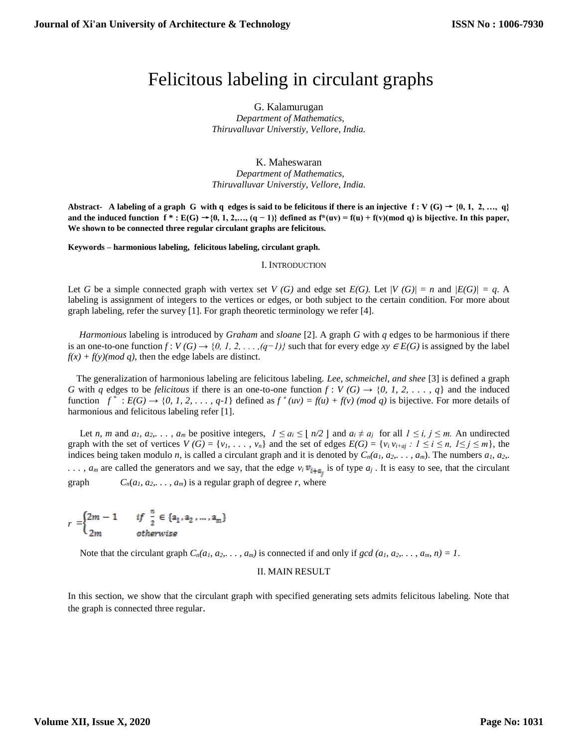# Felicitous labeling in circulant graphs

G. Kalamurugan  *Department of Mathematics, Thiruvalluvar Universtiy, Vellore, India.*

## K. Maheswaran

 *Department of Mathematics, Thiruvalluvar Universtiy, Vellore, India.*

Abstract- A labeling of a graph G with q edges is said to be felicitous if there is an injective  $f: V(G) \rightarrow \{0, 1, 2, ..., q\}$ and the induced function  $f^*: E(G) \rightarrow \{0, 1, 2, \ldots, (q-1)\}$  defined as  $f^*(uv) = f(u) + f(v) \pmod{q}$  is bijective. In this paper, **We shown to be connected three regular circulant graphs are felicitous.**

**Keywords – harmonious labeling, felicitous labeling, circulant graph.**

#### I. INTRODUCTION

Let *G* be a simple connected graph with vertex set *V* (*G*) and edge set *E*(*G*). Let  $|V(G)| = n$  and  $|E(G)| = q$ . A labeling is assignment of integers to the vertices or edges, or both subject to the certain condition. For more about graph labeling, refer the survey [1]. For graph theoretic terminology we refer [4].

 *Harmonious* labeling is introduced by *Graham* and *sloane* [2]. A graph *G* with *q* edges to be harmonious if there is an one-to-one function  $f: V(G) \to \{0, 1, 2, \ldots, (q-1)\}$  such that for every edge  $xy \in E(G)$  is assigned by the label  $f(x) + f(y)$ (*mod q*), then the edge labels are distinct.

 The generalization of harmonious labeling are felicitous labeling. *Lee, schmeichel, and shee* [3] is defined a graph *G* with *q* edges to be *felicitous* if there is an one-to-one function  $f : V(G) \rightarrow \{0, 1, 2, \ldots, q\}$  and the induced function  $f^*$ :  $E(G) \rightarrow \{0, 1, 2, \ldots, q-1\}$  defined as  $f^*(uv) = f(u) + f(v)$  (*mod q*) is bijective. For more details of harmonious and felicitous labeling refer [1].

Let n, m and a<sub>1</sub>, a<sub>2</sub>, ..., a<sub>m</sub> be positive integers,  $1 \le a_i \le |n/2|$  and  $a_i \ne a_j$  for all  $1 \le i, j \le m$ . An undirected graph with the set of vertices  $V(G) = \{v_i, \ldots, v_n\}$  and the set of edges  $E(G) = \{v_i v_{i+aj} : 1 \le i \le n, 1 \le j \le m\}$ , the indices being taken modulo *n*, is called a circulant graph and it is denoted by  $C_n(a_1, a_2, \ldots, a_m)$ . The numbers  $a_1, a_2, \ldots, a_m$  $\ldots$ ,  $a_m$  are called the generators and we say, that the edge  $v_i v_{i+a_i}$  is of type  $a_j$ . It is easy to see, that the circulant graph  $C_n(a_1, a_2, \ldots, a_m)$  is a regular graph of degree *r*, where

$$
r = \begin{cases} 2m - 1 & \text{if } \frac{n}{2} \in \{a_1, a_2, \dots, a_m\} \\ 2m & \text{otherwise} \end{cases}
$$

Note that the circulant graph  $C_n(a_1, a_2, \ldots, a_m)$  is connected if and only if  $gcd(a_1, a_2, \ldots, a_m, n) = 1$ .

### II. MAIN RESULT

In this section, we show that the circulant graph with specified generating sets admits felicitous labeling. Note that the graph is connected three regular.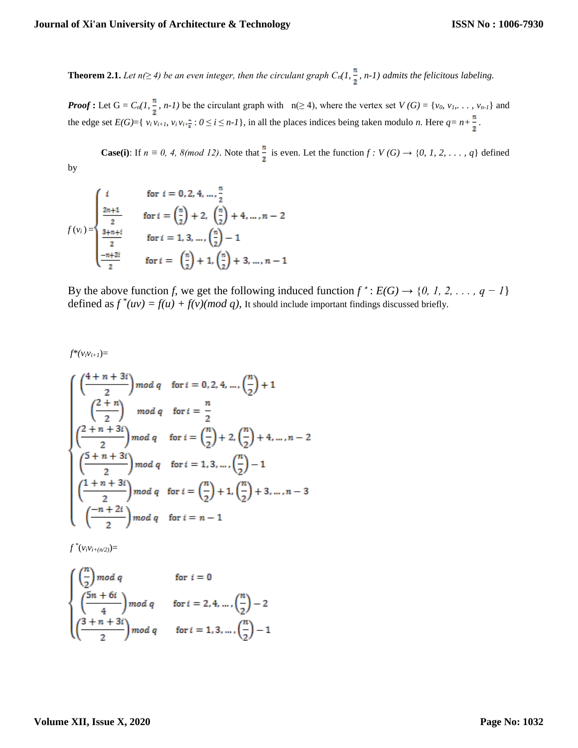**Theorem 2.1.** *Let*  $n(\geq 4)$  *be an even integer, then the circulant graph*  $C_n(1, \frac{n}{2}, n-1)$  *admits the felicitous labeling.* 

*Proof* : Let  $G = C_n(1, \frac{n}{2}, n-1)$  be the circulant graph with  $n(\geq 4)$ , where the vertex set  $V(G) = \{v_0, v_1, \ldots, v_{n-1}\}$  and the edge set  $E(G) = \{v_i v_{i+1}, v_i v_{i+\frac{n}{2}} : 0 \le i \le n-1\}$ , in all the places indices being taken modulo *n*. Here  $q = n+\frac{n}{2}$ .

**Case(i)**: If  $n \equiv 0, 4, 8 \pmod{12}$ . Note that  $\frac{n}{2}$  is even. Let the function  $f: V(G) \rightarrow \{0, 1, 2, \ldots, q\}$  defined by

$$
f(v_i) = \begin{cases} i & \text{for } i = 0, 2, 4, ..., \frac{n}{2} \\ \frac{2n+1}{2} & \text{for } i = \left(\frac{n}{2}\right) + 2, \quad \left(\frac{n}{2}\right) + 4, ..., n - 2 \\ \frac{3+n+i}{2} & \text{for } i = 1, 3, ..., \left(\frac{n}{2}\right) - 1 \\ \frac{-n+2i}{2} & \text{for } i = \left(\frac{n}{2}\right) + 1, \left(\frac{n}{2}\right) + 3, ..., n - 1 \end{cases}
$$

By the above function *f*, we get the following induced function  $f^*$ :  $E(G) \rightarrow \{0, 1, 2, \ldots, q - 1\}$ defined as  $f^*(uv) = f(u) + f(v) (mod q)$ , It should include important findings discussed briefly.

 $f^*(v_i v_{i+1}) =$ 

$$
\begin{cases}\n\left(\frac{4+n+3i}{2}\right) \mod q & \text{for } i = 0, 2, 4, ..., \left(\frac{n}{2}\right) + 1 \\
\left(\frac{2+n}{2}\right) \mod q & \text{for } i = \frac{n}{2} \\
\left(\frac{2+n+3i}{2}\right) \mod q & \text{for } i = \left(\frac{n}{2}\right) + 2, \left(\frac{n}{2}\right) + 4, ..., n-2 \\
\left(\frac{5+n+3i}{2}\right) \mod q & \text{for } i = 1, 3, ..., \left(\frac{n}{2}\right) - 1 \\
\left(\frac{1+n+3i}{2}\right) \mod q & \text{for } i = \left(\frac{n}{2}\right) + 1, \left(\frac{n}{2}\right) + 3, ..., n-3 \\
\left(\frac{-n+2i}{2}\right) \mod q & \text{for } i = n-1\n\end{cases}
$$

 $f^*(v_i v_{i+(n/2)}) =$ 

$$
\begin{cases}\n\left(\frac{n}{2}\right) \mod q & \text{for } i = 0 \\
\left(\frac{5n + 6i}{4}\right) \mod q & \text{for } i = 2, 4, \dots, \left(\frac{n}{2}\right) - 2 \\
\left(\frac{3 + n + 3i}{2}\right) \mod q & \text{for } i = 1, 3, \dots, \left(\frac{n}{2}\right) - 1\n\end{cases}
$$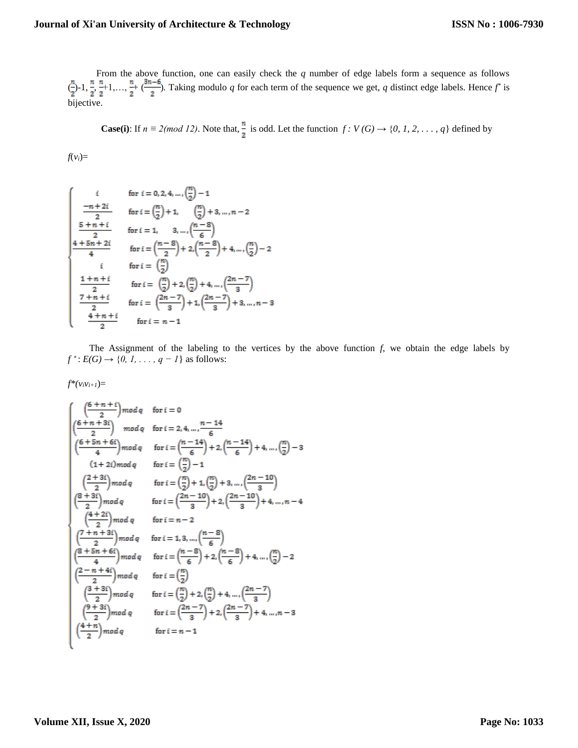## **Journal of Xi'an University of Architecture & Technology**

 From the above function, one can easily check the *q* number of edge labels form a sequence as follows  $\left(\frac{1}{2}, 1, \frac{1}{2}, \frac{1}{2}+1, \ldots, \frac{1}{2}+ \left(\frac{2n-6}{3}\right)\right]$ . Taking modulo *q* for each term of the sequence we get, *q* distinct edge labels. Hence  $f^*$  is bijective.

**Case(i)**: If  $n \equiv 2 \pmod{12}$ . Note that,  $\frac{n}{2}$  is odd. Let the function  $f: V(G) \rightarrow \{0, 1, 2, ..., q\}$  defined by

 $f(v_i) =$ 

$$
\begin{cases}\n i & \text{for } i = 0, 2, 4, ..., {n \choose 2} - 1 \\
 \frac{-n+2i}{2} & \text{for } i = {n \choose 2} + 1, \quad {n \choose 2} + 3, ..., n - 2 \\
 \frac{5+n+i}{2} & \text{for } i = 1, \quad 3, ..., {n-8 \choose 6} \\
 \frac{4+5n+2i}{4} & \text{for } i = {n-8 \choose 2} + 2, \frac{n-8}{2} + 4, ..., {n \choose 2} - 2 \\
 i & \text{for } i = {n \choose 2} \\
 \frac{1+n+i}{2} & \text{for } i = {n \choose 2} + 2, \frac{n}{2} + 4, ..., \frac{2n-7}{3} \\
 \frac{7+n+i}{2} & \text{for } i = {2n-7 \choose 3} + 1, \frac{2n-7}{3} + 3, ..., n-3 \\
 \frac{4+n+i}{2} & \text{for } i = n-1\n\end{cases}
$$

 The Assignment of the labeling to the vertices by the above function *f*, we obtain the edge labels by  $f^*$ :  $E(G) \rightarrow \{0, 1, \ldots, q-1\}$  as follows:

$$
f^*(v_iv_{i+1})=
$$

$$
\begin{cases}\n\left(\frac{6+n+i}{2}\right) \mod q & \text{for } i = 0 \\
\left(\frac{6+n+3i}{2}\right) \mod q & \text{for } i = 2, 4, ..., \frac{n-14}{6} \\
\left(\frac{6+5n+6i}{4}\right) \mod q & \text{for } i = \left(\frac{n-14}{6}\right) + 2, \left(\frac{n-14}{6}\right) + 4, ..., \left(\frac{n}{2}\right) - 3 \\
\left(1+2i\right) \mod q & \text{for } i = \left(\frac{n}{2}\right) - 1 \\
\left(\frac{2+3i}{2}\right) \mod q & \text{for } i = \left(\frac{n}{2}\right) + 1, \left(\frac{n}{2}\right) + 3, ..., \left(\frac{2n-10}{3}\right) \\
\left(\frac{8+3i}{2}\right) \mod q & \text{for } i = \left(\frac{2n-10}{3}\right) + 2, \left(\frac{2n-10}{3}\right) + 4, ..., n - 4 \\
\left(\frac{4+2i}{2}\right) \mod q & \text{for } i = n - 2 \\
\left(\frac{7+n+3i}{2}\right) \mod q & \text{for } i = 1, 3, ..., \left(\frac{n-8}{6}\right) \\
\left(\frac{8+5n+6i}{4}\right) \mod q & \text{for } i = \left(\frac{n-8}{6}\right) + 2, \left(\frac{n-8}{6}\right) + 4, ..., \left(\frac{n}{2}\right) - 2 \\
\left(\frac{2-n+4i}{2}\right) \mod q & \text{for } i = \left(\frac{n}{2}\right) \\
\left(\frac{3+3i}{2}\right) \mod q & \text{for } i = \left(\frac{n}{2}\right) + 2, \left(\frac{n}{2}\right) + 4, ..., \left(\frac{2n-7}{3}\right) \\
\left(\frac{9+3i}{2}\right) \mod q & \text{for } i = \left(\frac{2n-7}{3}\right) + 2, \left(\frac{2n-7}{3}\right) + 4, ..., n - 3 \\
\left(\frac{4+n}{2}\right) \mod q & \text{for } i = n - 1\n\end{cases}
$$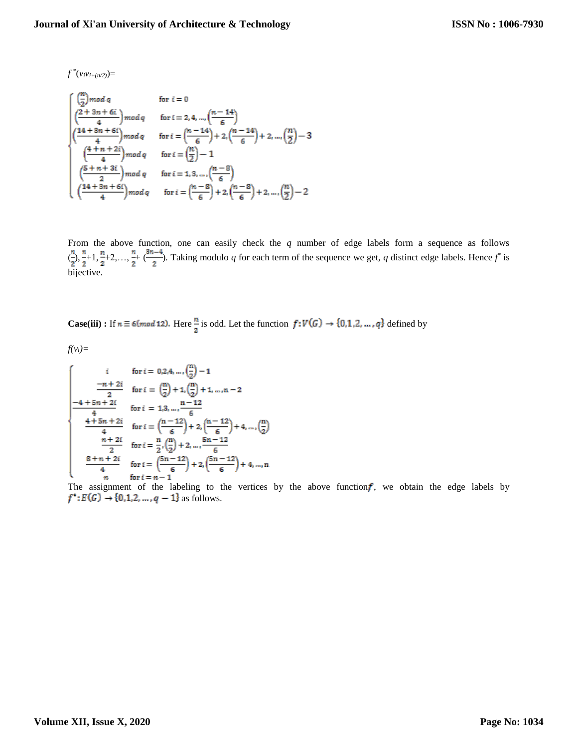$f^*(v_i v_{i+(n/2)}) =$ 

 $\mathbf{r}$ 

$$
\begin{cases}\n\left(\frac{n}{2}\right) \mod q & \text{for } i = 0 \\
\left(\frac{2+3n+6i}{4}\right) \mod q & \text{for } i = 2, 4, ..., \left(\frac{n-14}{6}\right) \\
\left(\frac{14+3n+6i}{4}\right) \mod q & \text{for } i = \left(\frac{n-14}{6}\right) + 2, \left(\frac{n-14}{6}\right) + 2, ..., \left(\frac{n}{2}\right) - 3 \\
\left(\frac{4+n+2i}{4}\right) \mod q & \text{for } i = \left(\frac{n}{2}\right) - 1 \\
\left(\frac{5+n+3i}{2}\right) \mod q & \text{for } i = 1, 3, ..., \left(\frac{n-8}{6}\right) \\
\left(\frac{14+3n+6i}{4}\right) \mod q & \text{for } i = \left(\frac{n-8}{6}\right) + 2, \left(\frac{n-8}{6}\right) + 2, ..., \left(\frac{n}{2}\right) - 2\n\end{cases}
$$

From the above function, one can easily check the *q* number of edge labels form a sequence as follows  $\left(\frac{1}{r}\right), \frac{n+1}{r+2}, \ldots, \frac{n+1}{r}$ . Taking modulo *q* for each term of the sequence we get, *q* distinct edge labels. Hence  $f^*$  is bijective.

**Case(iii)**: If  $n \equiv 6 \pmod{12}$ . Here  $\frac{n}{2}$  is odd. Let the function  $f: V(G) \rightarrow \{0, 1, 2, ..., q\}$  defined by

 $f(v_i) =$ 

$$
\begin{cases}\n i & \text{for } i = 0, 2, 4, ..., \left(\frac{n}{2}\right) - 1 \\
 \frac{-n + 2i}{2} & \text{for } i = \left(\frac{n}{2}\right) + 1, \left(\frac{n}{2}\right) + 1, ..., n - 2 \\
 \frac{-4 + 5n + 2i}{4} & \text{for } i = 1, 3, ..., \frac{n - 12}{6} \\
 \frac{4 + 5n + 2i}{4} & \text{for } i = \left(\frac{n - 12}{6}\right) + 2, \left(\frac{n - 12}{6}\right) + 4, ..., \left(\frac{n}{2}\right) \\
 \frac{n + 2i}{2} & \text{for } i = \frac{n}{2}, \left(\frac{n}{2}\right) + 2, ..., \frac{5n - 12}{6} \\
 \frac{8 + n + 2i}{4} & \text{for } i = \left(\frac{5n - 12}{6}\right) + 2, \left(\frac{5n - 12}{6}\right) + 4, ..., n \\
 n & \text{for } i = n - 1\n\end{cases}
$$

The assignment of the labeling to the vertices by the above function f, we obtain the edge labels by  $f^*: E(G) \to \{0,1,2,...,q-1\}$  as follows.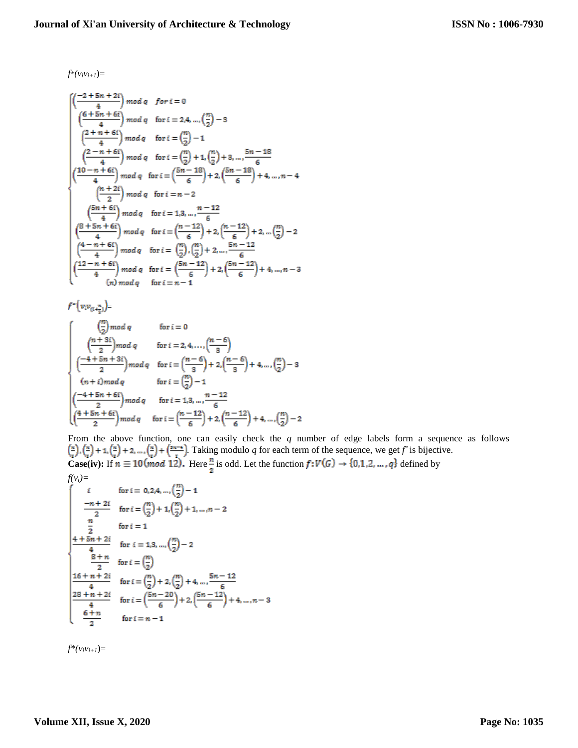$f^*(v_i v_{i+1}) =$ 

$$
\begin{array}{l} \left(\frac{-2+5n+2i}{4}\right) mod\ q \quad for\ i=0 \\ \left(\frac{6+5n+6i}{4}\right) mod\ q \quad for\ i=2,4,...,\left(\frac{n}{2}\right)-3 \\ \left(\frac{2+n+6i}{4}\right) mod\ q \quad for\ i=\left(\frac{n}{2}\right)-1 \\ \left(\frac{2-n+6i}{4}\right) mod\ q \quad for\ i=\left(\frac{n}{2}\right)+1,\left(\frac{n}{2}\right)+3,...,\frac{5n-18}{6} \\ \left(\frac{10-n+6i}{4}\right) mod\ q \quad for\ i=\left(\frac{5n-18}{6}\right)+2,\left(\frac{5n-18}{6}\right)+4,...,n-4 \\ \left(\frac{n+2i}{2}\right) mod\ q \quad for\ i= n-2 \\ \left(\frac{5n+6i}{4}\right) mod\ q \quad for\ i=1,3,...,\frac{n-12}{6} \\ \left(\frac{8+5n+6i}{4}\right) mod\ q \quad for\ i=\left(\frac{n-12}{6}\right)+2,\left(\frac{n-12}{6}\right)+2,...\left(\frac{n}{2}\right)-2 \\ \left(\frac{4-n+6i}{4}\right) mod\ q \quad for\ i=\left(\frac{n}{2}\right),\left(\frac{n}{2}\right)+2,...,\frac{5n-12}{6} \\ \left(\frac{12-n+6i}{4}\right) mod\ q \quad for\ i=\left(\frac{5n-12}{6}\right)+2,\left(\frac{5n-12}{6}\right)+4,...,n-3 \\ \left(n\right) mod\ q \quad for\ i=n-1 \end{array}
$$

 $f^*\Big(\upsilon_i\upsilon_{(i+\frac{n}{2})}\Big)\!\! =$ 

$$
\begin{cases}\n\left(\frac{n}{2}\right) \mod q & \text{for } i = 0 \\
\left(\frac{n+3i}{2}\right) \mod q & \text{for } i = 2, 4, \dots, \left(\frac{n-6}{3}\right) \\
\left(\frac{-4+5n+3i}{2}\right) \mod q & \text{for } i = \left(\frac{n-6}{3}\right)+2, \left(\frac{n-6}{3}\right)+4, \dots, \left(\frac{n}{2}\right)-3 \\
(n+i) \mod q & \text{for } i = \left(\frac{n}{2}\right)-1 \\
\left(\frac{-4+5n+6i}{2}\right) \mod q & \text{for } i = 1, 3, \dots, \frac{n-12}{6} \\
\left(\frac{4+5n+6i}{2}\right) \mod q & \text{for } i = \left(\frac{n-12}{6}\right)+2, \left(\frac{n-12}{6}\right)+4, \dots, \left(\frac{n}{2}\right)-2\n\end{cases}
$$

From the above function, one can easily check the *q* number of edge labels form a sequence as follows . Taking modulo  $q$  for each term of the sequence, we get  $f^*$  is bijective. **Case(iv):** If  $n \equiv 10 \pmod{12}$ . Here <sup>n</sup> is odd. Let the function  $f: V(G) \rightarrow \{0,1,2,...,q\}$  defined by

$$
f(v_i) = \n\begin{cases}\n\text{for } i = 0, 2, 4, ..., \left(\frac{n}{2}\right) - 1 \\
\frac{-n+2i}{2} & \text{for } i = \left(\frac{n}{2}\right) + 1, \left(\frac{n}{2}\right) + 1, ..., n - 2 \\
\frac{n}{2} & \text{for } i = 1\n\end{cases}
$$
\n
$$
4 + 5n + 2i \quad \text{for } i = 1, 3, ..., \left(\frac{n}{2}\right) - 2
$$
\n
$$
3 + n \quad \text{for } i = \left(\frac{n}{2}\right)
$$
\n
$$
16 + n + 2i \quad \text{for } i = \left(\frac{n}{2}\right) + 2, \left(\frac{n}{2}\right) + 4, ..., \frac{5n - 12}{6}
$$
\n
$$
4 + \frac{4}{12} \quad \text{for } i = \left(\frac{5n - 20}{6}\right) + 2, \left(\frac{5n - 12}{6}\right) + 4, ..., n - 3
$$
\n
$$
6 + n \quad \text{for } i = n - 1
$$

 $f^*(v_i v_{i+1}) =$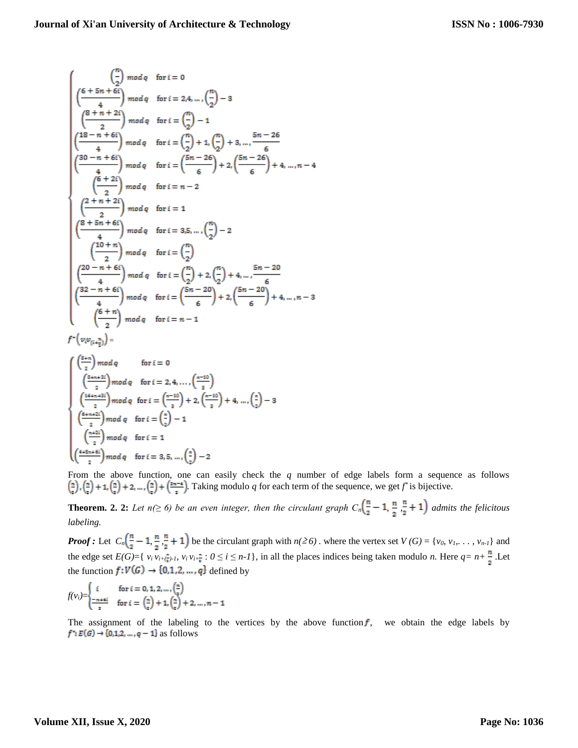$$
\begin{pmatrix}\n\frac{n}{2} & \mod q & \text{for } i = 0 \\
\frac{6+5n+6i}{4} & \mod q & \text{for } i = 2,4,\dots, \binom{n}{2} - 3 \\
\frac{8+n+2i}{2} & \mod q & \text{for } i = \binom{n}{2} - 1 \\
\frac{18-n+6i}{4} & \mod q & \text{for } i = \binom{n}{2} + 1, \binom{n}{2} + 3, \dots, \frac{5n-26}{6} \\
\frac{30-n+6i}{4} & \mod q & \text{for } i = \binom{5n-26}{6} + 2, \binom{5n-26}{6} + 4, \dots, n-4 \\
\frac{6+2i}{2} & \mod q & \text{for } i = n-2 \\
\frac{2+n+2i}{4} & \mod q & \text{for } i = 1 \\
\frac{8+5n+6i}{4} & \mod q & \text{for } i = 3,5,\dots, \binom{n}{2} - 2 \\
\frac{10+n}{4} & \mod q & \text{for } i = \binom{n}{2} \\
\frac{20-n+6i}{4} & \mod q & \text{for } i = \binom{n}{2} + 2, \binom{n}{2} + 4, \dots, \frac{5n-20}{6} \\
\frac{32-n+6i}{4} & \mod q & \text{for } i = \binom{5n-20}{6} + 2, \binom{5n-20}{6} + 4, \dots, n-3 \\
\frac{6+n}{4} & \mod q & \text{for } i = n-1\n\end{pmatrix}
$$

 $f^*\left(v_i v_{(i+\frac{\pi}{2})}\right) =$ 

J.

$$
\begin{cases}\n\left(\frac{8+n}{2}\right) \mod q & \text{for } i = 0 \\
\left(\frac{8+n+3i}{2}\right) \mod q & \text{for } i = 2, 4, \dots, \left(\frac{n-10}{3}\right) \\
\left(\frac{14+n+3i}{2}\right) \mod q & \text{for } i = \left(\frac{n-10}{3}\right) + 2, \left(\frac{n-10}{3}\right) + 4, \dots, \left(\frac{n}{2}\right) - 3 \\
\left(\frac{6+n+2i}{2}\right) \mod q & \text{for } i = \left(\frac{n}{2}\right) - 1 \\
\left(\frac{n+2i}{2}\right) \mod q & \text{for } i = 1 \\
\left(\frac{4+5n+6i}{2}\right) \mod q & \text{for } i = 3, 5, \dots, \left(\frac{n}{2}\right) - 2\n\end{cases}
$$

From the above function, one can easily check the *q* number of edge labels form a sequence as follows . Taking modulo  $q$  for each term of the sequence, we get  $f^*$  is bijective.

**Theorem. 2. 2:** Let  $n(\geq 6)$  be an even integer, then the circulant graph  $C_n(\frac{n}{2}-1, \frac{n}{2}, \frac{n}{2}+1)$  admits the felicitous *labeling.*

*Proof :* Let  $C_n\left(\frac{n}{2}-1,\frac{n}{2},\frac{n}{2}+1\right)$  be the circulant graph with  $n(\geq 6)$ . where the vertex set  $V(G) = \{v_0, v_1, \ldots, v_{n-1}\}$  and the edge set  $E(G) = \{v_i v_{i+\frac{n}{2}}, v_i v_{i+\frac{n}{2}} : 0 \le i \le n-1\}$ , in all the places indices being taken modulo *n*. Here  $q = n + \frac{n}{2}$ . Let the function  $f: V(G) \rightarrow \{0,1,2,\ldots,q\}$  defined by

$$
f(v_i) = \begin{cases} i & \text{for } i = 0, 1, 2, ..., \binom{n}{2} \\ \frac{-n+4i}{2} & \text{for } i = \binom{n}{2} + 1, \binom{n}{2} + 2, ..., n - 1 \end{cases}
$$

The assignment of the labeling to the vertices by the above function  $f$ , we obtain the edge labels by  $f^*\colon E(G)\to \{0,1,2,\ldots,q-1\}$  as follows